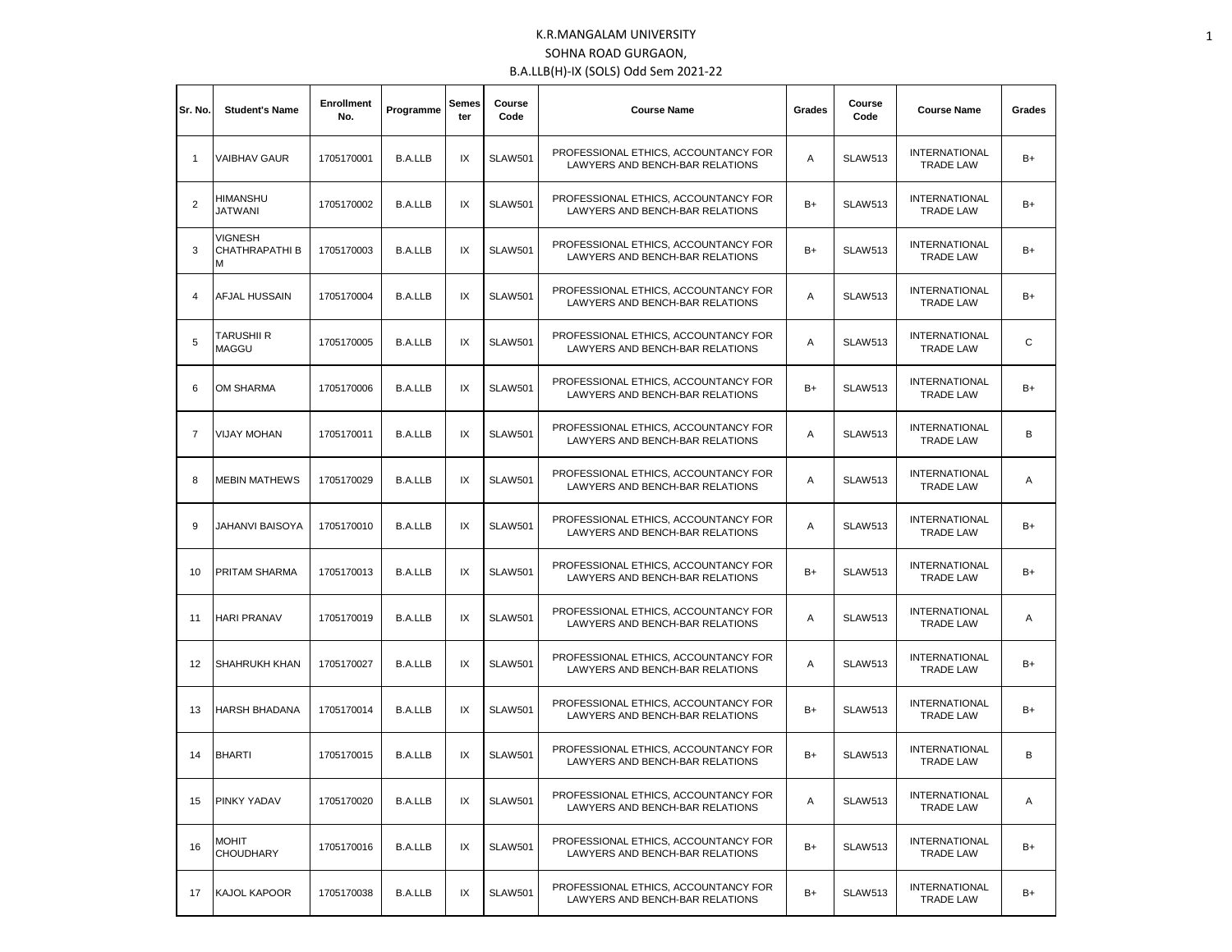| Sr. No.        | <b>Student's Name</b>                       | <b>Enrollment</b><br>No. | Programme      | Semes<br>ter | Course<br>Code | <b>Course Name</b>                                                                                                    | Grades | Course<br>Code                           | <b>Course Name</b>                       | Grades |
|----------------|---------------------------------------------|--------------------------|----------------|--------------|----------------|-----------------------------------------------------------------------------------------------------------------------|--------|------------------------------------------|------------------------------------------|--------|
| $\mathbf{1}$   | <b>VAIBHAV GAUR</b>                         | 1705170001               | <b>B.A.LLB</b> | IX           | <b>SLAW501</b> | PROFESSIONAL ETHICS, ACCOUNTANCY FOR<br><b>SLAW513</b><br>Α<br>LAWYERS AND BENCH-BAR RELATIONS                        |        | <b>INTERNATIONAL</b><br><b>TRADE LAW</b> | B+                                       |        |
| $\overline{2}$ | <b>HIMANSHU</b><br>JATWANI                  | 1705170002               | <b>B.A.LLB</b> | IX           | <b>SLAW501</b> | PROFESSIONAL ETHICS, ACCOUNTANCY FOR<br>$B+$<br><b>SLAW513</b><br>LAWYERS AND BENCH-BAR RELATIONS<br><b>TRADE LAW</b> |        | <b>INTERNATIONAL</b>                     | B+                                       |        |
| 3              | <b>VIGNESH</b><br><b>CHATHRAPATHIB</b><br>м | 1705170003               | <b>B.A.LLB</b> | IX           | <b>SLAW501</b> | PROFESSIONAL ETHICS. ACCOUNTANCY FOR<br>LAWYERS AND BENCH-BAR RELATIONS                                               | $B+$   | <b>SLAW513</b>                           | <b>INTERNATIONAL</b><br><b>TRADE LAW</b> | B+     |
| 4              | AFJAL HUSSAIN                               | 1705170004               | <b>B.A.LLB</b> | IX           | <b>SLAW501</b> | PROFESSIONAL ETHICS, ACCOUNTANCY FOR<br>LAWYERS AND BENCH-BAR RELATIONS                                               | Α      | <b>SLAW513</b>                           | <b>INTERNATIONAL</b><br><b>TRADE LAW</b> | B+     |
| 5              | <b>TARUSHII R</b><br><b>MAGGU</b>           | 1705170005               | <b>B.A.LLB</b> | IX           | <b>SLAW501</b> | PROFESSIONAL ETHICS, ACCOUNTANCY FOR<br>LAWYERS AND BENCH-BAR RELATIONS                                               | Α      | <b>SLAW513</b>                           | <b>INTERNATIONAL</b><br><b>TRADE LAW</b> | C      |
| 6              | OM SHARMA                                   | 1705170006               | <b>B.A.LLB</b> | IX           | <b>SLAW501</b> | PROFESSIONAL ETHICS, ACCOUNTANCY FOR<br>LAWYERS AND BENCH-BAR RELATIONS                                               | $B+$   | <b>SLAW513</b>                           | <b>INTERNATIONAL</b><br><b>TRADE LAW</b> | B+     |
| $\overline{7}$ | <b>VIJAY MOHAN</b>                          | 1705170011               | <b>B.A.LLB</b> | IX           | <b>SLAW501</b> | PROFESSIONAL ETHICS. ACCOUNTANCY FOR<br>LAWYERS AND BENCH-BAR RELATIONS                                               |        | <b>SLAW513</b>                           | <b>INTERNATIONAL</b><br><b>TRADE LAW</b> | В      |
| 8              | <b>MEBIN MATHEWS</b>                        | 1705170029               | <b>B.A.LLB</b> | IX           | <b>SLAW501</b> | PROFESSIONAL ETHICS, ACCOUNTANCY FOR<br>LAWYERS AND BENCH-BAR RELATIONS                                               |        | <b>SLAW513</b>                           | <b>INTERNATIONAL</b><br><b>TRADE LAW</b> | Α      |
| 9              | JAHANVI BAISOYA                             | 1705170010               | <b>B.A.LLB</b> | IX           | <b>SLAW501</b> | PROFESSIONAL ETHICS, ACCOUNTANCY FOR<br>LAWYERS AND BENCH-BAR RELATIONS                                               |        | <b>SLAW513</b>                           | <b>INTERNATIONAL</b><br><b>TRADE LAW</b> | B+     |
| 10             | PRITAM SHARMA                               | 1705170013               | <b>B.A.LLB</b> | IX           | <b>SLAW501</b> | PROFESSIONAL ETHICS, ACCOUNTANCY FOR<br>LAWYERS AND BENCH-BAR RELATIONS                                               | B+     | <b>SLAW513</b>                           | <b>INTERNATIONAL</b><br><b>TRADE LAW</b> | B+     |
| 11             | <b>HARI PRANAV</b>                          | 1705170019               | <b>B.A.LLB</b> | IX           | <b>SLAW501</b> | PROFESSIONAL ETHICS, ACCOUNTANCY FOR<br>LAWYERS AND BENCH-BAR RELATIONS                                               | Α      | <b>SLAW513</b>                           | <b>INTERNATIONAL</b><br><b>TRADE LAW</b> | Α      |
| 12             | SHAHRUKH KHAN                               | 1705170027               | <b>B.A.LLB</b> | IX           | <b>SLAW501</b> | PROFESSIONAL ETHICS, ACCOUNTANCY FOR<br>LAWYERS AND BENCH-BAR RELATIONS                                               | Α      | <b>SLAW513</b>                           | <b>INTERNATIONAL</b><br><b>TRADE LAW</b> | B+     |
| 13             | HARSH BHADANA                               | 1705170014               | <b>B.A.LLB</b> | IX           | <b>SLAW501</b> | PROFESSIONAL ETHICS. ACCOUNTANCY FOR<br>LAWYERS AND BENCH-BAR RELATIONS                                               | $B+$   | <b>SLAW513</b>                           | <b>INTERNATIONAL</b><br><b>TRADE LAW</b> | B+     |
| 14             | <b>BHARTI</b>                               | 1705170015               | <b>B.A.LLB</b> | IX           | <b>SLAW501</b> | PROFESSIONAL ETHICS, ACCOUNTANCY FOR<br>LAWYERS AND BENCH-BAR RELATIONS                                               | $B+$   | <b>SLAW513</b>                           | <b>INTERNATIONAL</b><br><b>TRADE LAW</b> | В      |
| 15             | PINKY YADAV                                 | 1705170020               | <b>B.A.LLB</b> | IX           | <b>SLAW501</b> | PROFESSIONAL ETHICS, ACCOUNTANCY FOR<br><b>SLAW513</b><br>Α<br>LAWYERS AND BENCH-BAR RELATIONS                        |        | <b>INTERNATIONAL</b><br><b>TRADE LAW</b> | Α                                        |        |
| 16             | <b>MOHIT</b><br><b>CHOUDHARY</b>            | 1705170016               | <b>B.A.LLB</b> | IX           | <b>SLAW501</b> | PROFESSIONAL ETHICS, ACCOUNTANCY FOR<br>LAWYERS AND BENCH-BAR RELATIONS                                               | B+     | <b>SLAW513</b>                           | <b>INTERNATIONAL</b><br><b>TRADE LAW</b> | B+     |
| 17             | KAJOL KAPOOR                                | 1705170038               | <b>B.A.LLB</b> | IX           | <b>SLAW501</b> | PROFESSIONAL ETHICS, ACCOUNTANCY FOR<br>LAWYERS AND BENCH-BAR RELATIONS                                               | B+     | <b>SLAW513</b>                           | <b>INTERNATIONAL</b><br><b>TRADE LAW</b> | B+     |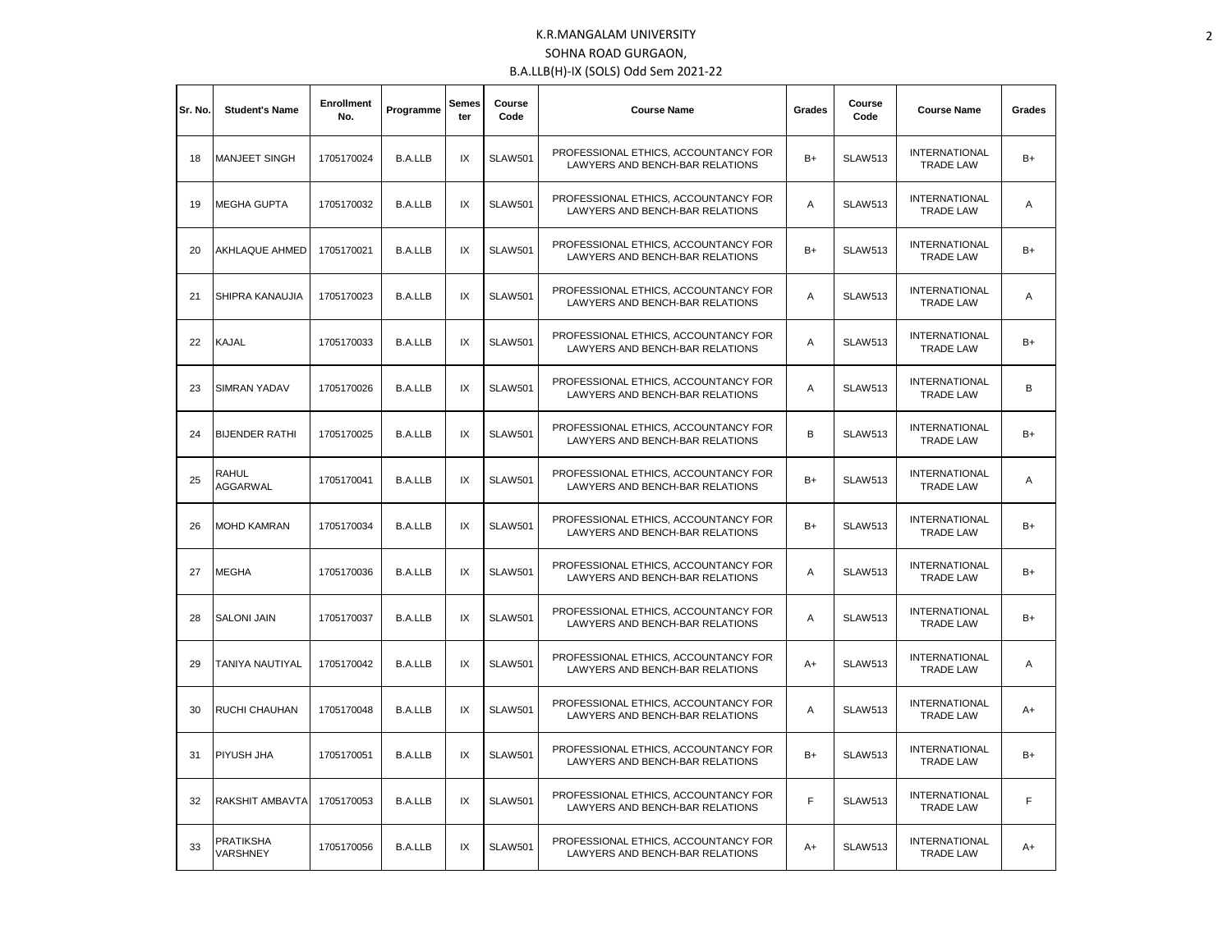| Sr. No. | <b>Student's Name</b>        | <b>Enrollment</b><br>No. | Programme      | Semes<br>ter | Course<br>Code | <b>Course Name</b>                                                      | Grades | Course<br>Code | <b>Course Name</b>                       | Grades |
|---------|------------------------------|--------------------------|----------------|--------------|----------------|-------------------------------------------------------------------------|--------|----------------|------------------------------------------|--------|
| 18      | <b>MANJEET SINGH</b>         | 1705170024               | <b>B.A.LLB</b> | IX           | <b>SLAW501</b> | PROFESSIONAL ETHICS, ACCOUNTANCY FOR<br>LAWYERS AND BENCH-BAR RELATIONS | $B+$   | <b>SLAW513</b> | <b>INTERNATIONAL</b><br><b>TRADE LAW</b> | $B+$   |
| 19      | <b>MEGHA GUPTA</b>           | 1705170032               | <b>B.A.LLB</b> | IX           | <b>SLAW501</b> | PROFESSIONAL ETHICS, ACCOUNTANCY FOR<br>LAWYERS AND BENCH-BAR RELATIONS | A      | <b>SLAW513</b> | <b>INTERNATIONAL</b><br><b>TRADE LAW</b> | Α      |
| 20      | AKHLAQUE AHMED               | 1705170021               | <b>B.A.LLB</b> | IX           | <b>SLAW501</b> | PROFESSIONAL ETHICS, ACCOUNTANCY FOR<br>LAWYERS AND BENCH-BAR RELATIONS |        | <b>SLAW513</b> | <b>INTERNATIONAL</b><br><b>TRADE LAW</b> | $B+$   |
| 21      | SHIPRA KANAUJIA              | 1705170023               | <b>B.A.LLB</b> | IX           | <b>SLAW501</b> | PROFESSIONAL ETHICS, ACCOUNTANCY FOR<br>LAWYERS AND BENCH-BAR RELATIONS | A      | <b>SLAW513</b> | <b>INTERNATIONAL</b><br><b>TRADE LAW</b> | Α      |
| 22      | KAJAL                        | 1705170033               | <b>B.A.LLB</b> | IX           | <b>SLAW501</b> | PROFESSIONAL ETHICS, ACCOUNTANCY FOR<br>LAWYERS AND BENCH-BAR RELATIONS | Α      | <b>SLAW513</b> | <b>INTERNATIONAL</b><br><b>TRADE LAW</b> | B+     |
| 23      | SIMRAN YADAV                 | 1705170026               | <b>B.A.LLB</b> | IX           | <b>SLAW501</b> | PROFESSIONAL ETHICS, ACCOUNTANCY FOR<br>LAWYERS AND BENCH-BAR RELATIONS |        | <b>SLAW513</b> | <b>INTERNATIONAL</b><br><b>TRADE LAW</b> | В      |
| 24      | <b>BIJENDER RATHI</b>        | 1705170025               | <b>B.A.LLB</b> | IX           | <b>SLAW501</b> | PROFESSIONAL ETHICS, ACCOUNTANCY FOR<br>LAWYERS AND BENCH-BAR RELATIONS |        | <b>SLAW513</b> | <b>INTERNATIONAL</b><br><b>TRADE LAW</b> | $B+$   |
| 25      | RAHUL<br><b>AGGARWAL</b>     | 1705170041               | <b>B.A.LLB</b> | IX           | <b>SLAW501</b> | PROFESSIONAL ETHICS, ACCOUNTANCY FOR<br>LAWYERS AND BENCH-BAR RELATIONS |        | <b>SLAW513</b> | <b>INTERNATIONAL</b><br><b>TRADE LAW</b> | Α      |
| 26      | <b>MOHD KAMRAN</b>           | 1705170034               | <b>B.A.LLB</b> | IX           | <b>SLAW501</b> | PROFESSIONAL ETHICS. ACCOUNTANCY FOR<br>LAWYERS AND BENCH-BAR RELATIONS | $B+$   | <b>SLAW513</b> | <b>INTERNATIONAL</b><br><b>TRADE LAW</b> | $B+$   |
| 27      | <b>MEGHA</b>                 | 1705170036               | <b>B.A.LLB</b> | IX           | <b>SLAW501</b> | PROFESSIONAL ETHICS, ACCOUNTANCY FOR<br>LAWYERS AND BENCH-BAR RELATIONS | Α      | <b>SLAW513</b> | <b>INTERNATIONAL</b><br><b>TRADE LAW</b> | B+     |
| 28      | <b>SALONI JAIN</b>           | 1705170037               | <b>B.A.LLB</b> | IX           | <b>SLAW501</b> | PROFESSIONAL ETHICS, ACCOUNTANCY FOR<br>LAWYERS AND BENCH-BAR RELATIONS | Α      | <b>SLAW513</b> | <b>INTERNATIONAL</b><br><b>TRADE LAW</b> | $B+$   |
| 29      | TANIYA NAUTIYAL              | 1705170042               | <b>B.A.LLB</b> | IX           | <b>SLAW501</b> | PROFESSIONAL ETHICS, ACCOUNTANCY FOR<br>LAWYERS AND BENCH-BAR RELATIONS | $A+$   | <b>SLAW513</b> | <b>INTERNATIONAL</b><br><b>TRADE LAW</b> | Α      |
| 30      | RUCHI CHAUHAN                | 1705170048               | <b>B.A.LLB</b> | IX           | <b>SLAW501</b> | PROFESSIONAL ETHICS, ACCOUNTANCY FOR<br>LAWYERS AND BENCH-BAR RELATIONS | A      | <b>SLAW513</b> | <b>INTERNATIONAL</b><br><b>TRADE LAW</b> | A+     |
| 31      | PIYUSH JHA                   | 1705170051               | <b>B.A.LLB</b> | IX           | <b>SLAW501</b> | PROFESSIONAL ETHICS, ACCOUNTANCY FOR<br>LAWYERS AND BENCH-BAR RELATIONS | $B+$   | <b>SLAW513</b> | <b>INTERNATIONAL</b><br><b>TRADE LAW</b> | $B+$   |
| 32      | RAKSHIT AMBAVTA              | 1705170053               | <b>B.A.LLB</b> | IX           | <b>SLAW501</b> | PROFESSIONAL ETHICS, ACCOUNTANCY FOR<br>LAWYERS AND BENCH-BAR RELATIONS | F      | <b>SLAW513</b> | <b>INTERNATIONAL</b><br><b>TRADE LAW</b> | F      |
| 33      | <b>PRATIKSHA</b><br>VARSHNEY | 1705170056               | <b>B.A.LLB</b> | IX           | <b>SLAW501</b> | PROFESSIONAL ETHICS, ACCOUNTANCY FOR<br>LAWYERS AND BENCH-BAR RELATIONS | $A+$   | <b>SLAW513</b> | <b>INTERNATIONAL</b><br><b>TRADE LAW</b> | A+     |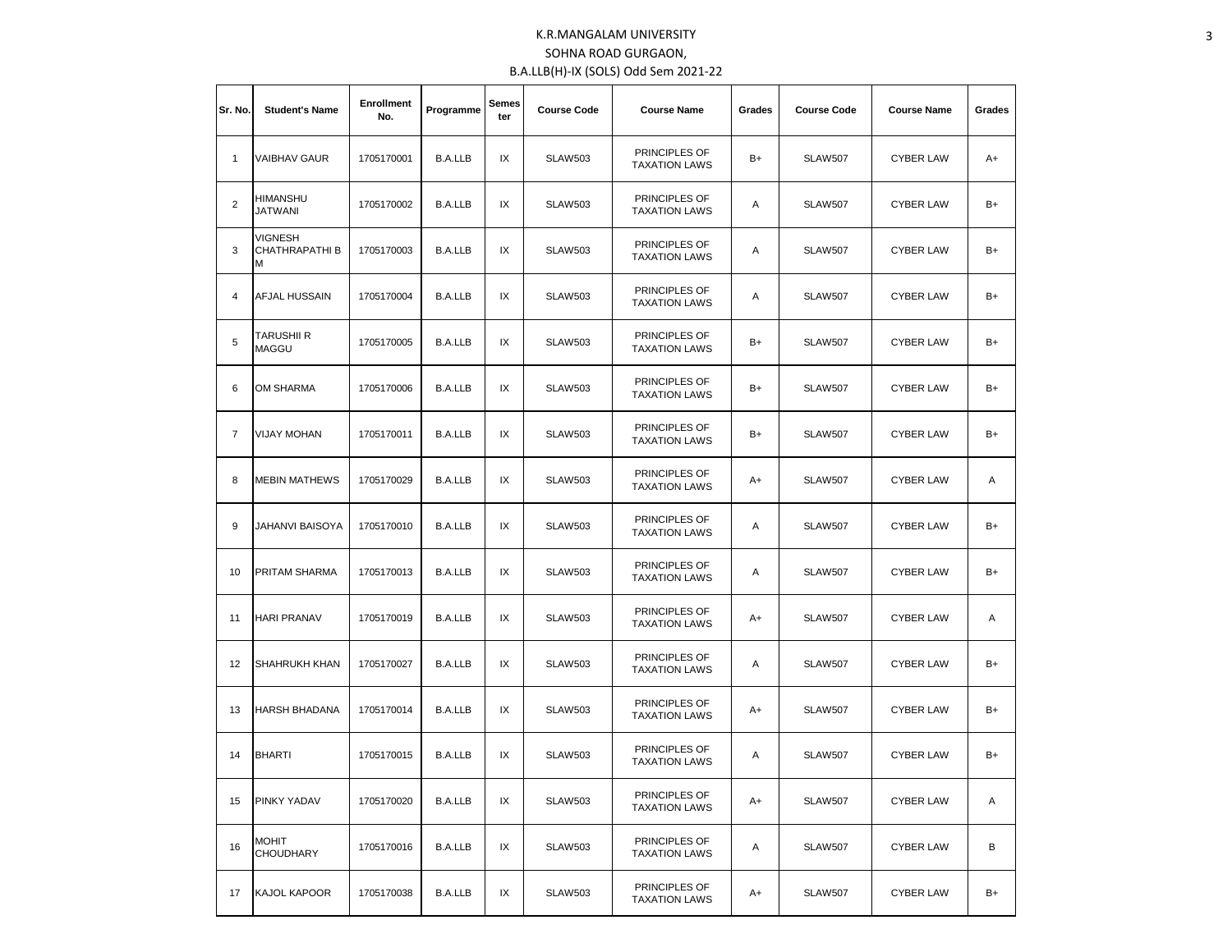| Sr. No. | <b>Student's Name</b>                        | Enrollment<br>No. | Programme      | Semes<br>ter | <b>Course Code</b> | <b>Course Name</b>                           | Grades<br><b>Course Code</b> |                | <b>Course Name</b> | Grades |
|---------|----------------------------------------------|-------------------|----------------|--------------|--------------------|----------------------------------------------|------------------------------|----------------|--------------------|--------|
| 1       | <b>VAIBHAV GAUR</b>                          | 1705170001        | <b>B.A.LLB</b> | IX           | <b>SLAW503</b>     | PRINCIPLES OF<br><b>TAXATION LAWS</b>        | B+                           | <b>SLAW507</b> | <b>CYBER LAW</b>   | A+     |
| 2       | <b>HIMANSHU</b><br>JATWANI                   | 1705170002        | <b>B.A.LLB</b> | IX           | <b>SLAW503</b>     | PRINCIPLES OF<br><b>TAXATION LAWS</b>        | Α<br><b>SLAW507</b>          |                | <b>CYBER LAW</b>   | B+     |
| 3       | <b>VIGNESH</b><br><b>CHATHRAPATHI B</b><br>M | 1705170003        | <b>B.A.LLB</b> | IX           | <b>SLAW503</b>     | PRINCIPLES OF<br><b>TAXATION LAWS</b>        | Α                            | <b>SLAW507</b> | <b>CYBER LAW</b>   | B+     |
| 4       | AFJAL HUSSAIN                                | 1705170004        | <b>B.A.LLB</b> | IX           | <b>SLAW503</b>     | PRINCIPLES OF<br><b>TAXATION LAWS</b>        | Α                            | <b>SLAW507</b> | <b>CYBER LAW</b>   | B+     |
| 5       | <b>TARUSHII R</b><br><b>MAGGU</b>            | 1705170005        | <b>B.A.LLB</b> | IX           | <b>SLAW503</b>     | <b>PRINCIPLES OF</b><br><b>TAXATION LAWS</b> | B+                           | <b>SLAW507</b> | <b>CYBER LAW</b>   | B+     |
| 6       | <b>OM SHARMA</b>                             | 1705170006        | <b>B.A.LLB</b> | IX           | <b>SLAW503</b>     | PRINCIPLES OF<br><b>TAXATION LAWS</b>        | B+                           | <b>SLAW507</b> | <b>CYBER LAW</b>   | B+     |
| 7       | <b>VIJAY MOHAN</b>                           | 1705170011        | <b>B.A.LLB</b> | IX           | <b>SLAW503</b>     | PRINCIPLES OF<br><b>TAXATION LAWS</b>        | B+<br><b>SLAW507</b>         |                | <b>CYBER LAW</b>   | $B+$   |
| 8       | <b>MEBIN MATHEWS</b>                         | 1705170029        | <b>B.A.LLB</b> | IX           | <b>SLAW503</b>     | PRINCIPLES OF<br><b>TAXATION LAWS</b>        | <b>SLAW507</b><br>A+         |                | <b>CYBER LAW</b>   | Α      |
| 9       | <b>JAHANVI BAISOYA</b>                       | 1705170010        | <b>B.A.LLB</b> | IX           | <b>SLAW503</b>     | PRINCIPLES OF<br><b>TAXATION LAWS</b>        | Α                            | <b>SLAW507</b> | <b>CYBER LAW</b>   | B+     |
| 10      | <b>PRITAM SHARMA</b>                         | 1705170013        | <b>B.A.LLB</b> | IX           | <b>SLAW503</b>     | PRINCIPLES OF<br><b>TAXATION LAWS</b>        | Α                            | <b>SLAW507</b> | <b>CYBER LAW</b>   | B+     |
| 11      | <b>HARI PRANAV</b>                           | 1705170019        | <b>B.A.LLB</b> | IX           | <b>SLAW503</b>     | PRINCIPLES OF<br><b>TAXATION LAWS</b>        | A+                           | SLAW507        | <b>CYBER LAW</b>   | Α      |
| 12      | SHAHRUKH KHAN                                | 1705170027        | <b>B.A.LLB</b> | IX           | <b>SLAW503</b>     | PRINCIPLES OF<br><b>TAXATION LAWS</b>        | Α                            | <b>SLAW507</b> | <b>CYBER LAW</b>   | B+     |
| 13      | <b>HARSH BHADANA</b>                         | 1705170014        | <b>B.A.LLB</b> | IX           | <b>SLAW503</b>     | PRINCIPLES OF<br><b>TAXATION LAWS</b>        | A+                           | <b>SLAW507</b> | <b>CYBER LAW</b>   | B+     |
| 14      | <b>BHARTI</b>                                | 1705170015        | <b>B.A.LLB</b> | IX           | <b>SLAW503</b>     | PRINCIPLES OF<br><b>TAXATION LAWS</b>        | Α                            | <b>SLAW507</b> | <b>CYBER LAW</b>   | B+     |
| 15      | <b>PINKY YADAV</b>                           | 1705170020        | <b>B.A.LLB</b> | IX           | <b>SLAW503</b>     | PRINCIPLES OF<br><b>TAXATION LAWS</b>        | A+                           | <b>SLAW507</b> | <b>CYBER LAW</b>   | Α      |
| 16      | <b>MOHIT</b><br><b>CHOUDHARY</b>             | 1705170016        | <b>B.A.LLB</b> | IX           | <b>SLAW503</b>     | PRINCIPLES OF<br><b>TAXATION LAWS</b>        | Α                            | <b>SLAW507</b> | <b>CYBER LAW</b>   | В      |
| 17      | KAJOL KAPOOR                                 | 1705170038        | <b>B.A.LLB</b> | IX           | <b>SLAW503</b>     | PRINCIPLES OF<br><b>TAXATION LAWS</b>        | A+                           | <b>SLAW507</b> | <b>CYBER LAW</b>   | B+     |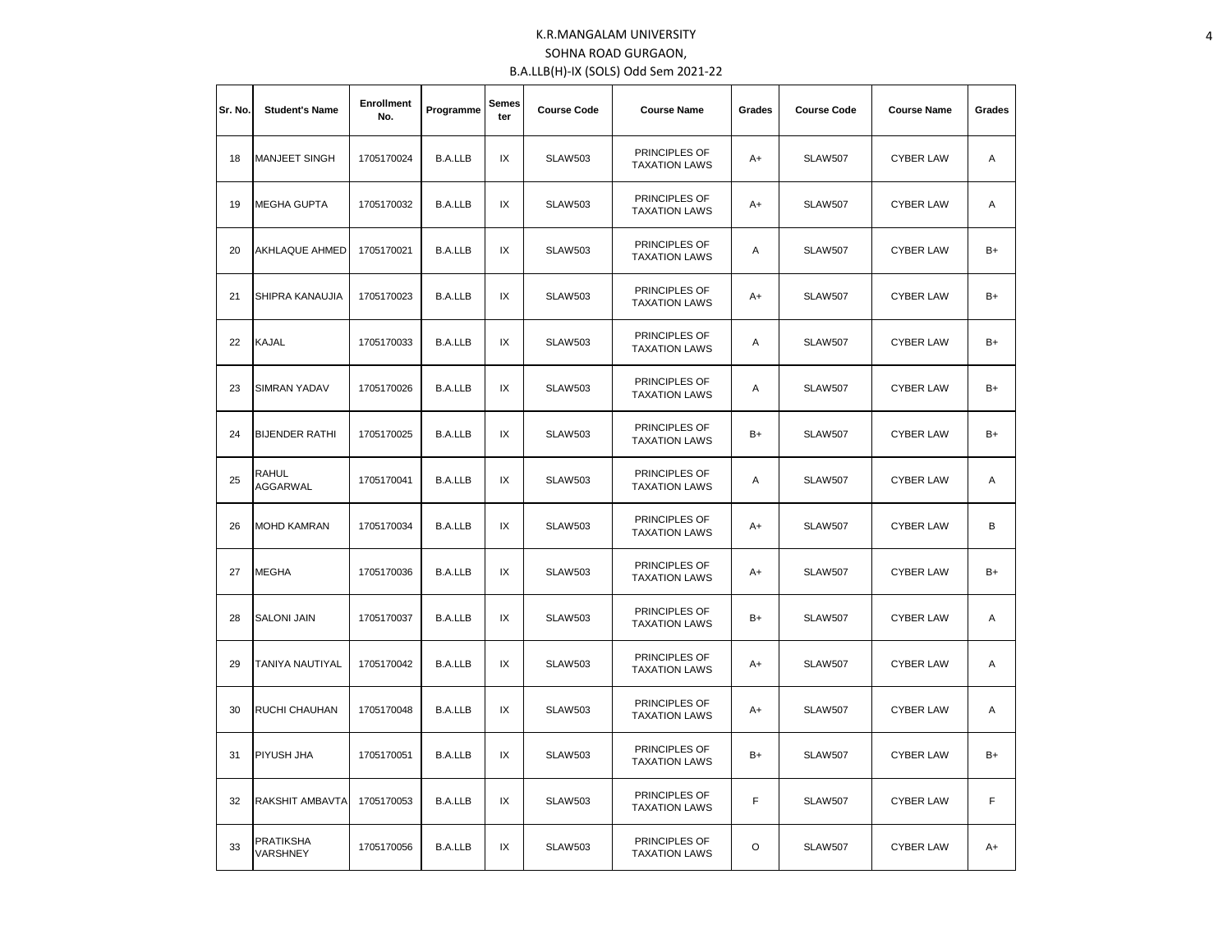| Sr. No. | <b>Student's Name</b>        | <b>Enrollment</b><br>No. | Programme      | <b>Semes</b><br>ter | <b>Course Code</b> | <b>Course Name</b>                    | Grades               | <b>Course Code</b>                 | <b>Course Name</b> | Grades |
|---------|------------------------------|--------------------------|----------------|---------------------|--------------------|---------------------------------------|----------------------|------------------------------------|--------------------|--------|
| 18      | <b>MANJEET SINGH</b>         | 1705170024               | <b>B.A.LLB</b> | IX                  | <b>SLAW503</b>     | PRINCIPLES OF<br><b>TAXATION LAWS</b> | $A+$                 | <b>SLAW507</b>                     | <b>CYBER LAW</b>   | Α      |
| 19      | <b>MEGHA GUPTA</b>           | 1705170032               | <b>B.A.LLB</b> | IX                  | <b>SLAW503</b>     | PRINCIPLES OF<br><b>TAXATION LAWS</b> | A+                   | <b>CYBER LAW</b><br><b>SLAW507</b> |                    | Α      |
| 20      | <b>AKHLAQUE AHMED</b>        | 1705170021               | <b>B.A.LLB</b> | IX                  | <b>SLAW503</b>     | PRINCIPLES OF<br><b>TAXATION LAWS</b> | Α<br><b>SLAW507</b>  |                                    | <b>CYBER LAW</b>   | $B+$   |
| 21      | SHIPRA KANAUJIA              | 1705170023               | <b>B.A.LLB</b> | IX                  | <b>SLAW503</b>     | PRINCIPLES OF<br><b>TAXATION LAWS</b> | A+<br><b>SLAW507</b> |                                    | <b>CYBER LAW</b>   | $B+$   |
| 22      | <b>KAJAL</b>                 | 1705170033               | <b>B.A.LLB</b> | IX                  | <b>SLAW503</b>     | PRINCIPLES OF<br><b>TAXATION LAWS</b> | Α                    | <b>SLAW507</b>                     | <b>CYBER LAW</b>   | $B+$   |
| 23      | <b>SIMRAN YADAV</b>          | 1705170026               | <b>B.A.LLB</b> | IX                  | <b>SLAW503</b>     | PRINCIPLES OF<br><b>TAXATION LAWS</b> | Α                    | <b>SLAW507</b>                     | <b>CYBER LAW</b>   | $B+$   |
| 24      | <b>BIJENDER RATHI</b>        | 1705170025               | <b>B.A.LLB</b> | IX                  | <b>SLAW503</b>     | PRINCIPLES OF<br><b>TAXATION LAWS</b> | B+<br><b>SLAW507</b> |                                    | <b>CYBER LAW</b>   | $B+$   |
| 25      | RAHUL<br><b>AGGARWAL</b>     | 1705170041               | <b>B.A.LLB</b> | IX                  | <b>SLAW503</b>     | PRINCIPLES OF<br><b>TAXATION LAWS</b> | Α                    | <b>SLAW507</b>                     | <b>CYBER LAW</b>   | Α      |
| 26      | <b>MOHD KAMRAN</b>           | 1705170034               | <b>B.A.LLB</b> | IX                  | <b>SLAW503</b>     | PRINCIPLES OF<br><b>TAXATION LAWS</b> | A+                   | <b>SLAW507</b>                     | <b>CYBER LAW</b>   | B      |
| 27      | <b>MEGHA</b>                 | 1705170036               | <b>B.A.LLB</b> | IX                  | <b>SLAW503</b>     | PRINCIPLES OF<br><b>TAXATION LAWS</b> | A+                   | <b>SLAW507</b>                     | <b>CYBER LAW</b>   | $B+$   |
| 28      | <b>SALONI JAIN</b>           | 1705170037               | <b>B.A.LLB</b> | IX                  | <b>SLAW503</b>     | PRINCIPLES OF<br><b>TAXATION LAWS</b> | B+                   | <b>SLAW507</b>                     | <b>CYBER LAW</b>   | Α      |
| 29      | TANIYA NAUTIYAL              | 1705170042               | <b>B.A.LLB</b> | IX                  | <b>SLAW503</b>     | PRINCIPLES OF<br><b>TAXATION LAWS</b> | A+                   | <b>SLAW507</b>                     | <b>CYBER LAW</b>   | A      |
| 30      | <b>RUCHI CHAUHAN</b>         | 1705170048               | <b>B.A.LLB</b> | IX                  | <b>SLAW503</b>     | PRINCIPLES OF<br><b>TAXATION LAWS</b> | $A+$                 | <b>SLAW507</b>                     | <b>CYBER LAW</b>   | A      |
| 31      | <b>PIYUSH JHA</b>            | 1705170051               | <b>B.A.LLB</b> | IX                  | <b>SLAW503</b>     | PRINCIPLES OF<br><b>TAXATION LAWS</b> | B+                   | <b>SLAW507</b>                     | <b>CYBER LAW</b>   | $B+$   |
| 32      | RAKSHIT AMBAVTA              | 1705170053               | <b>B.A.LLB</b> | IX                  | <b>SLAW503</b>     | PRINCIPLES OF<br><b>TAXATION LAWS</b> | F                    | SLAW507                            | <b>CYBER LAW</b>   | F      |
| 33      | <b>PRATIKSHA</b><br>VARSHNEY | 1705170056               | <b>B.A.LLB</b> | IX                  | <b>SLAW503</b>     | PRINCIPLES OF<br><b>TAXATION LAWS</b> | O                    | <b>SLAW507</b>                     | <b>CYBER LAW</b>   | $A+$   |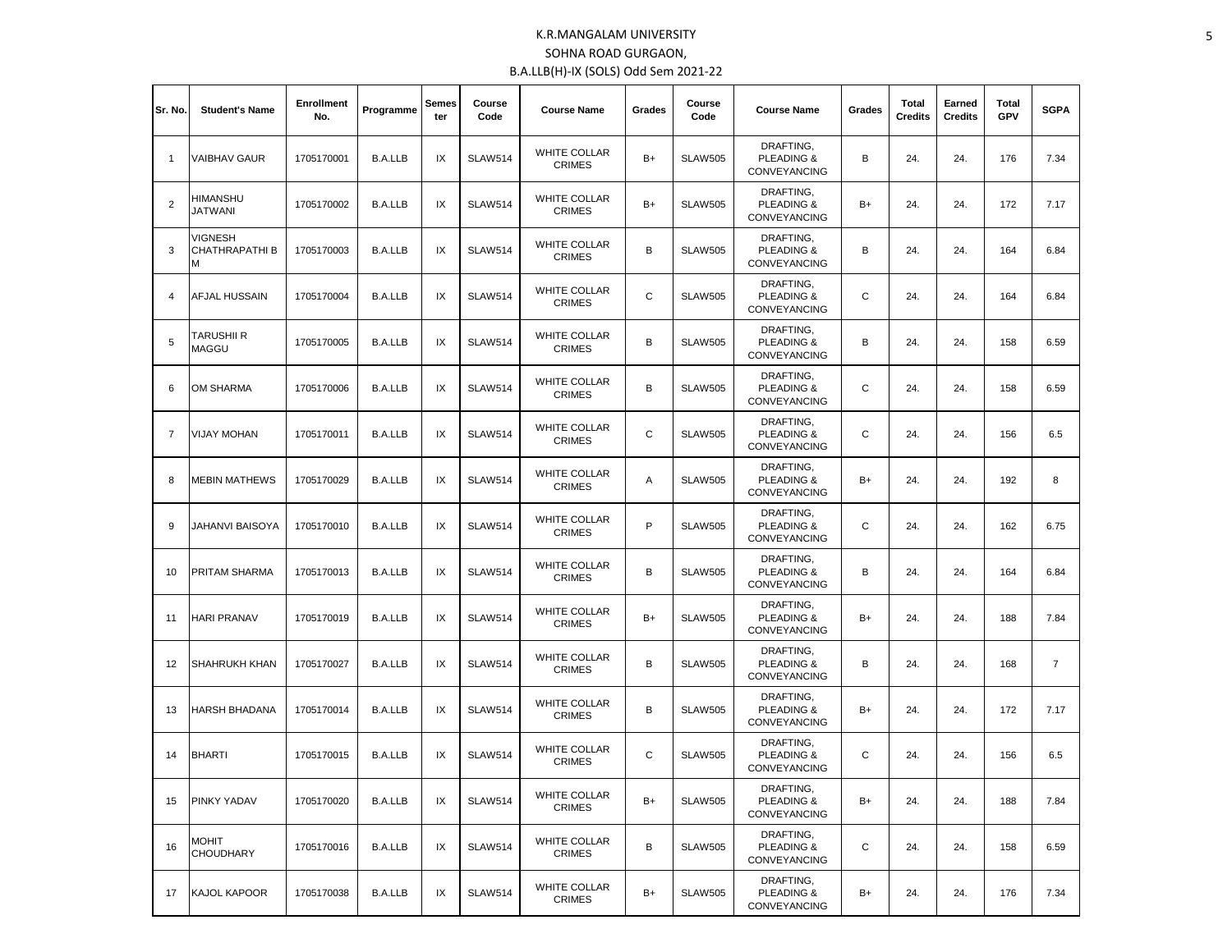| Sr. No.        | <b>Student's Name</b>                        | <b>Enrollment</b><br>No. | Programme      | Semes<br>ter | Course<br>Code | <b>Course Name</b>                   | Grades | Course<br>Code | <b>Course Name</b>                                        | Grades | <b>Total</b><br><b>Credits</b> | Earned<br><b>Credits</b> | <b>Total</b><br>GPV | <b>SGPA</b>    |
|----------------|----------------------------------------------|--------------------------|----------------|--------------|----------------|--------------------------------------|--------|----------------|-----------------------------------------------------------|--------|--------------------------------|--------------------------|---------------------|----------------|
| $\mathbf{1}$   | VAIBHAV GAUR                                 | 1705170001               | <b>B.A.LLB</b> | IX           | <b>SLAW514</b> | <b>WHITE COLLAR</b><br><b>CRIMES</b> | $B+$   | <b>SLAW505</b> | DRAFTING,<br><b>PLEADING &amp;</b><br><b>CONVEYANCING</b> | B      | 24.                            | 24.                      | 176                 | 7.34           |
| $\overline{2}$ | HIMANSHU<br>JATWANI                          | 1705170002               | <b>B.A.LLB</b> | IX           | <b>SLAW514</b> | <b>WHITE COLLAR</b><br><b>CRIMES</b> | $B+$   | <b>SLAW505</b> | DRAFTING,<br>PLEADING &<br><b>CONVEYANCING</b>            | B+     | 24.                            | 24.                      | 172                 | 7.17           |
| 3              | <b>VIGNESH</b><br><b>CHATHRAPATHI B</b><br>М | 1705170003               | <b>B.A.LLB</b> | IX           | <b>SLAW514</b> | WHITE COLLAR<br><b>CRIMES</b>        | B      | <b>SLAW505</b> | DRAFTING,<br>PLEADING &<br><b>CONVEYANCING</b>            | В      | 24.                            | 24.                      | 164                 | 6.84           |
| 4              | AFJAL HUSSAIN                                | 1705170004               | <b>B.A.LLB</b> | IX           | <b>SLAW514</b> | WHITE COLLAR<br><b>CRIMES</b>        | C      | <b>SLAW505</b> | DRAFTING,<br>PLEADING &<br>CONVEYANCING                   | C      | 24.                            | 24.                      | 164                 | 6.84           |
| 5              | TARUSHII R<br>MAGGU                          | 1705170005               | <b>B.A.LLB</b> | IX           | <b>SLAW514</b> | WHITE COLLAR<br><b>CRIMES</b>        | В      | <b>SLAW505</b> | DRAFTING,<br>PLEADING &<br><b>CONVEYANCING</b>            | B      | 24.                            | 24.                      | 158                 | 6.59           |
| 6              | OM SHARMA                                    | 1705170006               | <b>B.A.LLB</b> | IX           | <b>SLAW514</b> | <b>WHITE COLLAR</b><br><b>CRIMES</b> | В      | <b>SLAW505</b> | DRAFTING,<br>PLEADING &<br><b>CONVEYANCING</b>            | C      | 24.                            | 24.                      | 158                 | 6.59           |
| $\overline{7}$ | <b>VIJAY MOHAN</b>                           | 1705170011               | <b>B.A.LLB</b> | IX           | <b>SLAW514</b> | <b>WHITE COLLAR</b><br><b>CRIMES</b> | C      | <b>SLAW505</b> | DRAFTING,<br><b>PLEADING &amp;</b><br><b>CONVEYANCING</b> | C      | 24.                            | 24.                      | 156                 | 6.5            |
| 8              | <b>MEBIN MATHEWS</b>                         | 1705170029               | <b>B.A.LLB</b> | IX           | <b>SLAW514</b> | <b>WHITE COLLAR</b><br><b>CRIMES</b> | Α      | <b>SLAW505</b> | DRAFTING,<br>PLEADING &<br><b>CONVEYANCING</b>            | B+     | 24.                            | 24.                      | 192                 | 8              |
| 9              | JAHANVI BAISOYA                              | 1705170010               | <b>B.A.LLB</b> | IX           | <b>SLAW514</b> | <b>WHITE COLLAR</b><br><b>CRIMES</b> | P      | <b>SLAW505</b> | DRAFTING,<br>PLEADING &<br>CONVEYANCING                   | C      | 24.                            | 24.                      | 162                 | 6.75           |
| 10             | PRITAM SHARMA                                | 1705170013               | <b>B.A.LLB</b> | IX           | <b>SLAW514</b> | <b>WHITE COLLAR</b><br><b>CRIMES</b> | B      | <b>SLAW505</b> | DRAFTING,<br>PLEADING &<br>CONVEYANCING                   | B      | 24.                            | 24.                      | 164                 | 6.84           |
| 11             | HARI PRANAV                                  | 1705170019               | <b>B.A.LLB</b> | IX           | <b>SLAW514</b> | <b>WHITE COLLAR</b><br><b>CRIMES</b> | $B+$   | <b>SLAW505</b> | DRAFTING,<br>PLEADING &<br>CONVEYANCING                   | B+     | 24.                            | 24.                      | 188                 | 7.84           |
| 12             | SHAHRUKH KHAN                                | 1705170027               | <b>B.A.LLB</b> | IX           | <b>SLAW514</b> | <b>WHITE COLLAR</b><br><b>CRIMES</b> | B      | <b>SLAW505</b> | DRAFTING,<br>PLEADING &<br>CONVEYANCING                   | В      | 24.                            | 24.                      | 168                 | $\overline{7}$ |
| 13             | HARSH BHADANA                                | 1705170014               | <b>B.A.LLB</b> | IX           | <b>SLAW514</b> | <b>WHITE COLLAR</b><br><b>CRIMES</b> | B      | <b>SLAW505</b> | DRAFTING,<br>PLEADING &<br><b>CONVEYANCING</b>            | B+     | 24.                            | 24.                      | 172                 | 7.17           |
| 14             | <b>BHARTI</b>                                | 1705170015               | <b>B.A.LLB</b> | IX           | <b>SLAW514</b> | WHITE COLLAR<br><b>CRIMES</b>        | C      | <b>SLAW505</b> | DRAFTING.<br><b>PLEADING &amp;</b><br><b>CONVEYANCING</b> | C      | 24.                            | 24.                      | 156                 | 6.5            |
| 15             | <b>PINKY YADAV</b>                           | 1705170020               | <b>B.A.LLB</b> | IX           | <b>SLAW514</b> | <b>WHITE COLLAR</b><br><b>CRIMES</b> | B+     | <b>SLAW505</b> | DRAFTING,<br>PLEADING &<br>CONVEYANCING                   | B+     | 24.                            | 24.                      | 188                 | 7.84           |
| 16             | <b>MOHIT</b><br><b>CHOUDHARY</b>             | 1705170016               | <b>B.A.LLB</b> | IX           | <b>SLAW514</b> | <b>WHITE COLLAR</b><br><b>CRIMES</b> | В      | <b>SLAW505</b> | DRAFTING.<br>PLEADING &<br><b>CONVEYANCING</b>            | C      | 24.                            | 24.                      | 158                 | 6.59           |
| 17             | <b>KAJOL KAPOOR</b>                          | 1705170038               | <b>B.A.LLB</b> | IX           | <b>SLAW514</b> | WHITE COLLAR<br><b>CRIMES</b>        | $B+$   | <b>SLAW505</b> | DRAFTING,<br>PLEADING &<br>CONVEYANCING                   | B+     | 24.                            | 24.                      | 176                 | 7.34           |